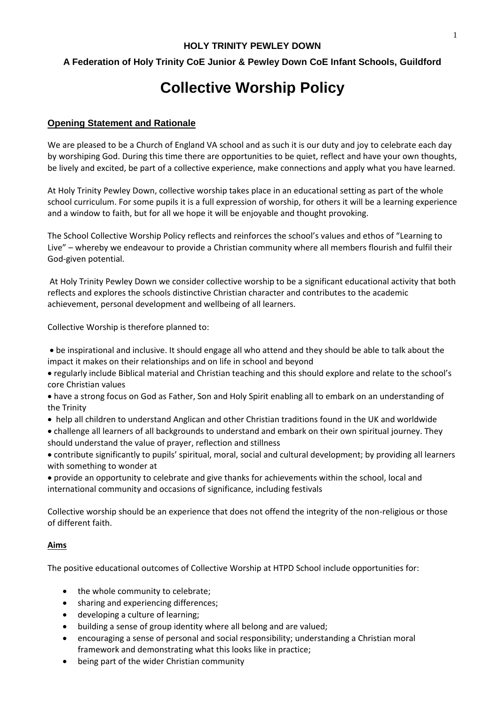# **A Federation of Holy Trinity CoE Junior & Pewley Down CoE Infant Schools, Guildford**

# **Collective Worship Policy**

#### **Opening Statement and Rationale**

We are pleased to be a Church of England VA school and as such it is our duty and joy to celebrate each day by worshiping God. During this time there are opportunities to be quiet, reflect and have your own thoughts, be lively and excited, be part of a collective experience, make connections and apply what you have learned.

At Holy Trinity Pewley Down, collective worship takes place in an educational setting as part of the whole school curriculum. For some pupils it is a full expression of worship, for others it will be a learning experience and a window to faith, but for all we hope it will be enjoyable and thought provoking.

The School Collective Worship Policy reflects and reinforces the school's values and ethos of "Learning to Live" – whereby we endeavour to provide a Christian community where all members flourish and fulfil their God-given potential.

At Holy Trinity Pewley Down we consider collective worship to be a significant educational activity that both reflects and explores the schools distinctive Christian character and contributes to the academic achievement, personal development and wellbeing of all learners.

Collective Worship is therefore planned to:

 be inspirational and inclusive. It should engage all who attend and they should be able to talk about the impact it makes on their relationships and on life in school and beyond

- regularly include Biblical material and Christian teaching and this should explore and relate to the school's core Christian values
- have a strong focus on God as Father, Son and Holy Spirit enabling all to embark on an understanding of the Trinity
- help all children to understand Anglican and other Christian traditions found in the UK and worldwide

 challenge all learners of all backgrounds to understand and embark on their own spiritual journey. They should understand the value of prayer, reflection and stillness

 contribute significantly to pupils' spiritual, moral, social and cultural development; by providing all learners with something to wonder at

 provide an opportunity to celebrate and give thanks for achievements within the school, local and international community and occasions of significance, including festivals

Collective worship should be an experience that does not offend the integrity of the non-religious or those of different faith.

#### **Aims**

The positive educational outcomes of Collective Worship at HTPD School include opportunities for:

- the whole community to celebrate;
- sharing and experiencing differences;
- developing a culture of learning;
- building a sense of group identity where all belong and are valued;
- encouraging a sense of personal and social responsibility; understanding a Christian moral framework and demonstrating what this looks like in practice;
- being part of the wider Christian community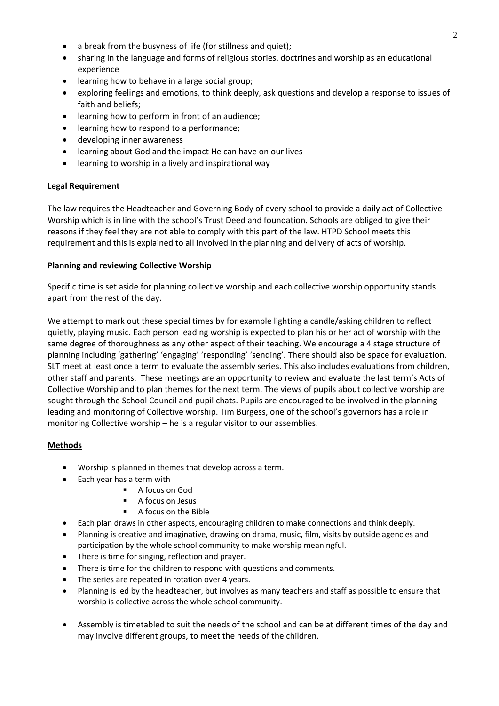- a break from the busyness of life (for stillness and quiet);
- sharing in the language and forms of religious stories, doctrines and worship as an educational experience
- learning how to behave in a large social group;
- exploring feelings and emotions, to think deeply, ask questions and develop a response to issues of faith and beliefs;
- learning how to perform in front of an audience;
- **•** learning how to respond to a performance;
- developing inner awareness
- learning about God and the impact He can have on our lives
- learning to worship in a lively and inspirational way

# **Legal Requirement**

The law requires the Headteacher and Governing Body of every school to provide a daily act of Collective Worship which is in line with the school's Trust Deed and foundation. Schools are obliged to give their reasons if they feel they are not able to comply with this part of the law. HTPD School meets this requirement and this is explained to all involved in the planning and delivery of acts of worship.

#### **Planning and reviewing Collective Worship**

Specific time is set aside for planning collective worship and each collective worship opportunity stands apart from the rest of the day.

We attempt to mark out these special times by for example lighting a candle/asking children to reflect quietly, playing music. Each person leading worship is expected to plan his or her act of worship with the same degree of thoroughness as any other aspect of their teaching. We encourage a 4 stage structure of planning including 'gathering' 'engaging' 'responding' 'sending'. There should also be space for evaluation. SLT meet at least once a term to evaluate the assembly series. This also includes evaluations from children, other staff and parents. These meetings are an opportunity to review and evaluate the last term's Acts of Collective Worship and to plan themes for the next term. The views of pupils about collective worship are sought through the School Council and pupil chats. Pupils are encouraged to be involved in the planning leading and monitoring of Collective worship. Tim Burgess, one of the school's governors has a role in monitoring Collective worship – he is a regular visitor to our assemblies.

# **Methods**

- Worship is planned in themes that develop across a term.
- Each year has a term with
	- A focus on God
	- A focus on Jesus
	- A focus on the Bible
- Each plan draws in other aspects, encouraging children to make connections and think deeply.
- Planning is creative and imaginative, drawing on drama, music, film, visits by outside agencies and participation by the whole school community to make worship meaningful.
- There is time for singing, reflection and prayer.
- There is time for the children to respond with questions and comments.
- The series are repeated in rotation over 4 years.
- Planning is led by the headteacher, but involves as many teachers and staff as possible to ensure that worship is collective across the whole school community.
- Assembly is timetabled to suit the needs of the school and can be at different times of the day and may involve different groups, to meet the needs of the children.